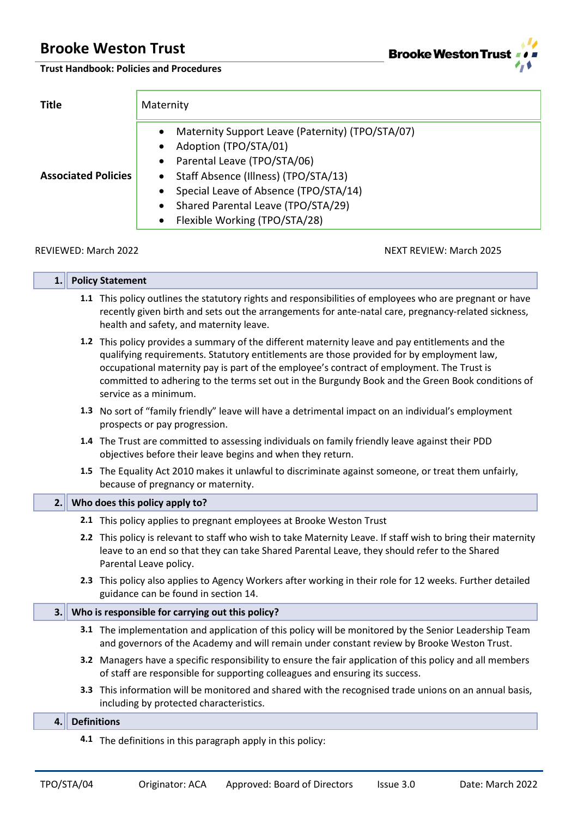п



**Trust Handbook: Policies and Procedures**

| <b>Title</b>               | Maternity                                                                                                                                                                                                                                                                                                                                                   |  |  |
|----------------------------|-------------------------------------------------------------------------------------------------------------------------------------------------------------------------------------------------------------------------------------------------------------------------------------------------------------------------------------------------------------|--|--|
| <b>Associated Policies</b> | Maternity Support Leave (Paternity) (TPO/STA/07)<br>$\bullet$<br>Adoption (TPO/STA/01)<br>$\bullet$<br>Parental Leave (TPO/STA/06)<br>$\bullet$<br>Staff Absence (Illness) (TPO/STA/13)<br>$\bullet$<br>Special Leave of Absence (TPO/STA/14)<br>$\bullet$<br>Shared Parental Leave (TPO/STA/29)<br>$\bullet$<br>Flexible Working (TPO/STA/28)<br>$\bullet$ |  |  |
| REVIEWED: March 2022       | NEXT REVIEW: March 2025                                                                                                                                                                                                                                                                                                                                     |  |  |

| 1.1                                                                                                                                                                                                                                                                                                                                                                                                                     |                    | <b>Policy Statement</b>                                                                                                                                                                                                                                    |  |
|-------------------------------------------------------------------------------------------------------------------------------------------------------------------------------------------------------------------------------------------------------------------------------------------------------------------------------------------------------------------------------------------------------------------------|--------------------|------------------------------------------------------------------------------------------------------------------------------------------------------------------------------------------------------------------------------------------------------------|--|
|                                                                                                                                                                                                                                                                                                                                                                                                                         |                    | 1.1 This policy outlines the statutory rights and responsibilities of employees who are pregnant or have<br>recently given birth and sets out the arrangements for ante-natal care, pregnancy-related sickness,<br>health and safety, and maternity leave. |  |
| 1.2 This policy provides a summary of the different maternity leave and pay entitlements and the<br>qualifying requirements. Statutory entitlements are those provided for by employment law,<br>occupational maternity pay is part of the employee's contract of employment. The Trust is<br>committed to adhering to the terms set out in the Burgundy Book and the Green Book conditions of<br>service as a minimum. |                    |                                                                                                                                                                                                                                                            |  |
| 1.3 No sort of "family friendly" leave will have a detrimental impact on an individual's employment<br>prospects or pay progression.                                                                                                                                                                                                                                                                                    |                    |                                                                                                                                                                                                                                                            |  |
|                                                                                                                                                                                                                                                                                                                                                                                                                         |                    | 1.4 The Trust are committed to assessing individuals on family friendly leave against their PDD<br>objectives before their leave begins and when they return.                                                                                              |  |
|                                                                                                                                                                                                                                                                                                                                                                                                                         |                    | 1.5 The Equality Act 2010 makes it unlawful to discriminate against someone, or treat them unfairly,<br>because of pregnancy or maternity.                                                                                                                 |  |
| 2. I                                                                                                                                                                                                                                                                                                                                                                                                                    |                    | Who does this policy apply to?                                                                                                                                                                                                                             |  |
|                                                                                                                                                                                                                                                                                                                                                                                                                         |                    | 2.1 This policy applies to pregnant employees at Brooke Weston Trust                                                                                                                                                                                       |  |
|                                                                                                                                                                                                                                                                                                                                                                                                                         |                    | 2.2 This policy is relevant to staff who wish to take Maternity Leave. If staff wish to bring their maternity<br>leave to an end so that they can take Shared Parental Leave, they should refer to the Shared<br>Parental Leave policy.                    |  |
|                                                                                                                                                                                                                                                                                                                                                                                                                         |                    | 2.3 This policy also applies to Agency Workers after working in their role for 12 weeks. Further detailed<br>guidance can be found in section 14.                                                                                                          |  |
| 3.                                                                                                                                                                                                                                                                                                                                                                                                                      |                    | Who is responsible for carrying out this policy?                                                                                                                                                                                                           |  |
|                                                                                                                                                                                                                                                                                                                                                                                                                         |                    | 3.1 The implementation and application of this policy will be monitored by the Senior Leadership Team<br>and governors of the Academy and will remain under constant review by Brooke Weston Trust.                                                        |  |
|                                                                                                                                                                                                                                                                                                                                                                                                                         |                    | 3.2 Managers have a specific responsibility to ensure the fair application of this policy and all members<br>of staff are responsible for supporting colleagues and ensuring its success.                                                                  |  |
|                                                                                                                                                                                                                                                                                                                                                                                                                         |                    | 3.3 This information will be monitored and shared with the recognised trade unions on an annual basis,<br>including by protected characteristics.                                                                                                          |  |
| 4.                                                                                                                                                                                                                                                                                                                                                                                                                      | <b>Definitions</b> |                                                                                                                                                                                                                                                            |  |
|                                                                                                                                                                                                                                                                                                                                                                                                                         |                    | 4.1 The definitions in this paragraph apply in this policy:                                                                                                                                                                                                |  |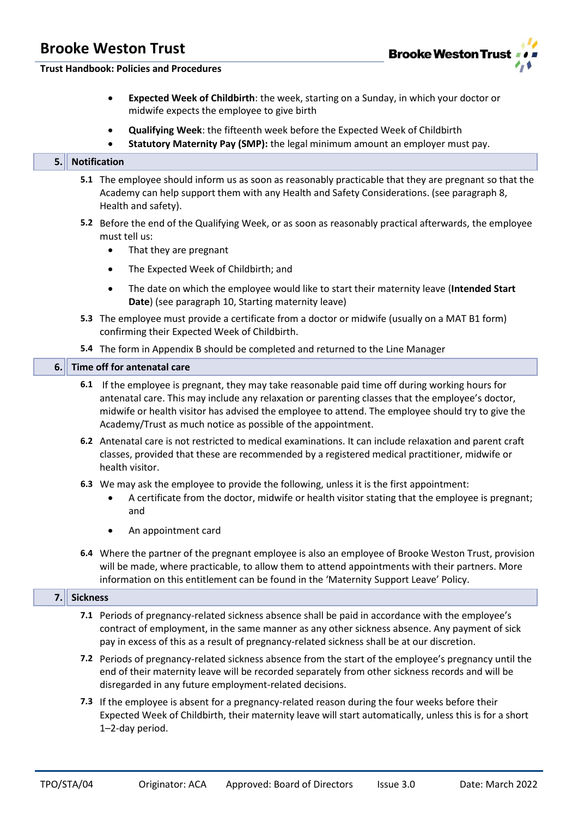

**Trust Handbook: Policies and Procedures**

- **Expected Week of Childbirth**: the week, starting on a Sunday, in which your doctor or midwife expects the employee to give birth
- **Qualifying Week**: the fifteenth week before the Expected Week of Childbirth
- **Statutory Maternity Pay (SMP):** the legal minimum amount an employer must pay.

#### **5. Notification**

- **5.1** The employee should inform us as soon as reasonably practicable that they are pregnant so that the Academy can help support them with any Health and Safety Considerations. (see paragraph 8, Health and safety).
- **5.2** Before the end of the Qualifying Week, or as soon as reasonably practical afterwards, the employee must tell us:
	- That they are pregnant
	- The Expected Week of Childbirth; and
	- The date on which the employee would like to start their maternity leave (**Intended Start Date**) (see paragraph 10, Starting maternity leave)
- **5.3** The employee must provide a certificate from a doctor or midwife (usually on a MAT B1 form) confirming their Expected Week of Childbirth.
- **5.4** The form in Appendix B should be completed and returned to the Line Manager

#### **6. Time off for antenatal care**

- **6.1** If the employee is pregnant, they may take reasonable paid time off during working hours for antenatal care. This may include any relaxation or parenting classes that the employee's doctor, midwife or health visitor has advised the employee to attend. The employee should try to give the Academy/Trust as much notice as possible of the appointment.
- **6.2** Antenatal care is not restricted to medical examinations. It can include relaxation and parent craft classes, provided that these are recommended by a registered medical practitioner, midwife or health visitor.
- **6.3** We may ask the employee to provide the following, unless it is the first appointment:
	- A certificate from the doctor, midwife or health visitor stating that the employee is pregnant; and
	- An appointment card
- **6.4** Where the partner of the pregnant employee is also an employee of Brooke Weston Trust, provision will be made, where practicable, to allow them to attend appointments with their partners. More information on this entitlement can be found in the 'Maternity Support Leave' Policy.

#### **7. Sickness**

- **7.1** Periods of pregnancy-related sickness absence shall be paid in accordance with the employee's contract of employment, in the same manner as any other sickness absence. Any payment of sick pay in excess of this as a result of pregnancy-related sickness shall be at our discretion.
- **7.2** Periods of pregnancy-related sickness absence from the start of the employee's pregnancy until the end of their maternity leave will be recorded separately from other sickness records and will be disregarded in any future employment-related decisions.
- **7.3** If the employee is absent for a pregnancy-related reason during the four weeks before their Expected Week of Childbirth, their maternity leave will start automatically, unless this is for a short 1–2-day period.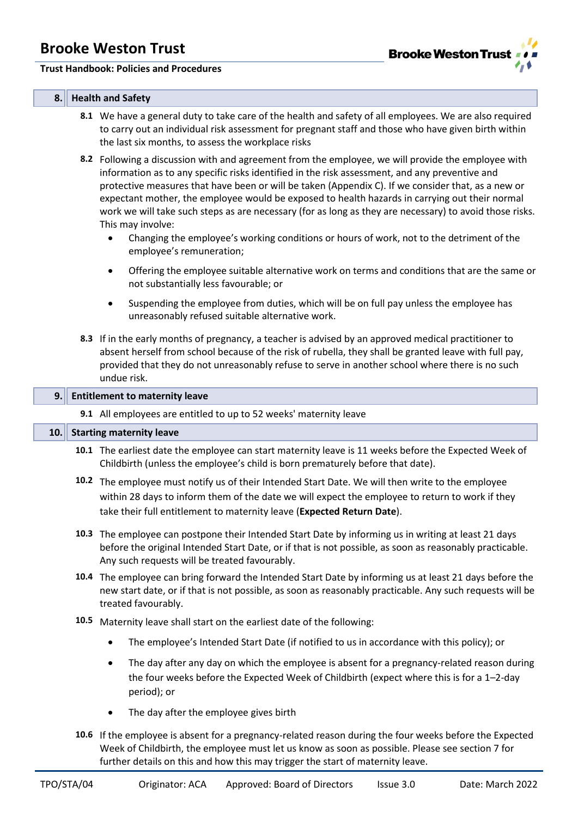

#### **Trust Handbook: Policies and Procedures**

### **8. Health and Safety**

- **8.1** We have a general duty to take care of the health and safety of all employees. We are also required to carry out an individual risk assessment for pregnant staff and those who have given birth within the last six months, to assess the workplace risks
- **8.2** Following a discussion with and agreement from the employee, we will provide the employee with information as to any specific risks identified in the risk assessment, and any preventive and protective measures that have been or will be taken (Appendix C). If we consider that, as a new or expectant mother, the employee would be exposed to health hazards in carrying out their normal work we will take such steps as are necessary (for as long as they are necessary) to avoid those risks. This may involve:
	- Changing the employee's working conditions or hours of work, not to the detriment of the employee's remuneration;
	- Offering the employee suitable alternative work on terms and conditions that are the same or not substantially less favourable; or
	- Suspending the employee from duties, which will be on full pay unless the employee has unreasonably refused suitable alternative work.
- **8.3** If in the early months of pregnancy, a teacher is advised by an approved medical practitioner to absent herself from school because of the risk of rubella, they shall be granted leave with full pay, provided that they do not unreasonably refuse to serve in another school where there is no such undue risk.

#### **9. Entitlement to maternity leave**

**9.1** All employees are entitled to up to 52 weeks' maternity leave

### **10. Starting maternity leave**

- **10.1** The earliest date the employee can start maternity leave is 11 weeks before the Expected Week of Childbirth (unless the employee's child is born prematurely before that date).
- **10.2** The employee must notify us of their Intended Start Date. We will then write to the employee within 28 days to inform them of the date we will expect the employee to return to work if they take their full entitlement to maternity leave (**Expected Return Date**).
- **10.3** The employee can postpone their Intended Start Date by informing us in writing at least 21 days before the original Intended Start Date, or if that is not possible, as soon as reasonably practicable. Any such requests will be treated favourably.
- **10.4** The employee can bring forward the Intended Start Date by informing us at least 21 days before the new start date, or if that is not possible, as soon as reasonably practicable. Any such requests will be treated favourably.
- **10.5** Maternity leave shall start on the earliest date of the following:
	- The employee's Intended Start Date (if notified to us in accordance with this policy); or
	- The day after any day on which the employee is absent for a pregnancy-related reason during the four weeks before the Expected Week of Childbirth (expect where this is for a 1–2-day period); or
	- The day after the employee gives birth
- **10.6** If the employee is absent for a pregnancy-related reason during the four weeks before the Expected Week of Childbirth, the employee must let us know as soon as possible. Please see section 7 for further details on this and how this may trigger the start of maternity leave.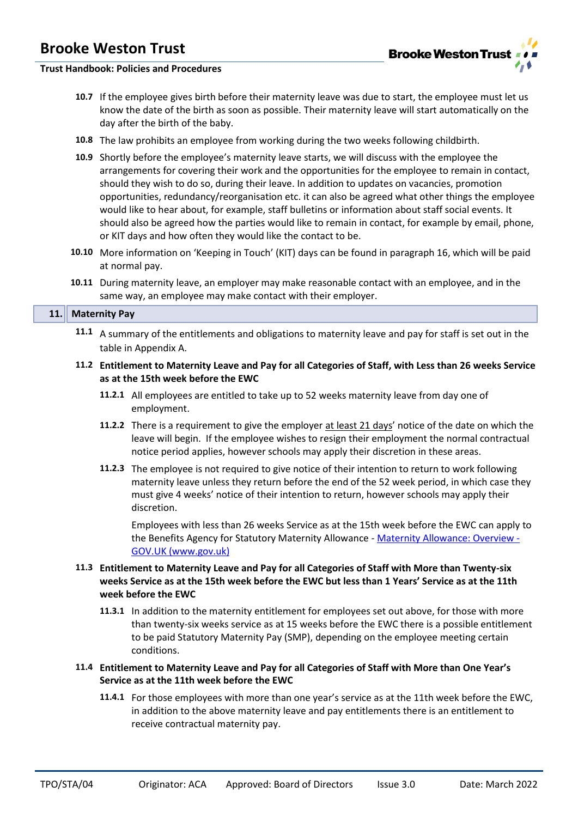### **Trust Handbook: Policies and Procedures**

- **10.7** If the employee gives birth before their maternity leave was due to start, the employee must let us know the date of the birth as soon as possible. Their maternity leave will start automatically on the day after the birth of the baby.
- **10.8** The law prohibits an employee from working during the two weeks following childbirth.
- **10.9** Shortly before the employee's maternity leave starts, we will discuss with the employee the arrangements for covering their work and the opportunities for the employee to remain in contact, should they wish to do so, during their leave. In addition to updates on vacancies, promotion opportunities, redundancy/reorganisation etc. it can also be agreed what other things the employee would like to hear about, for example, staff bulletins or information about staff social events. It should also be agreed how the parties would like to remain in contact, for example by email, phone, or KIT days and how often they would like the contact to be.
- **10.10** More information on 'Keeping in Touch' (KIT) days can be found in paragraph 16, which will be paid at normal pay.
- **10.11** During maternity leave, an employer may make reasonable contact with an employee, and in the same way, an employee may make contact with their employer.

#### **11. Maternity Pay**

- **11.1** A summary of the entitlements and obligations to maternity leave and pay for staff is set out in the table in Appendix A.
- **11.2 Entitlement to Maternity Leave and Pay for all Categories of Staff, with Less than 26 weeks Service as at the 15th week before the EWC**
	- **11.2.1** All employees are entitled to take up to 52 weeks maternity leave from day one of employment.
	- **11.2.2** There is a requirement to give the employer at least 21 days' notice of the date on which the leave will begin. If the employee wishes to resign their employment the normal contractual notice period applies, however schools may apply their discretion in these areas.
	- **11.2.3** The employee is not required to give notice of their intention to return to work following maternity leave unless they return before the end of the 52 week period, in which case they must give 4 weeks' notice of their intention to return, however schools may apply their discretion.

Employees with less than 26 weeks Service as at the 15th week before the EWC can apply to the Benefits Agency for Statutory Maternity Allowance - [Maternity Allowance: Overview -](https://www.gov.uk/maternity-allowance) [GOV.UK \(www.gov.uk\)](https://www.gov.uk/maternity-allowance)

### **11.3 Entitlement to Maternity Leave and Pay for all Categories of Staff with More than Twenty-six weeks Service as at the 15th week before the EWC but less than 1 Years' Service as at the 11th week before the EWC**

- **11.3.1** In addition to the maternity entitlement for employees set out above, for those with more than twenty-six weeks service as at 15 weeks before the EWC there is a possible entitlement to be paid Statutory Maternity Pay (SMP), depending on the employee meeting certain conditions.
- **11.4 Entitlement to Maternity Leave and Pay for all Categories of Staff with More than One Year's Service as at the 11th week before the EWC**
	- **11.4.1** For those employees with more than one year's service as at the 11th week before the EWC, in addition to the above maternity leave and pay entitlements there is an entitlement to receive contractual maternity pay.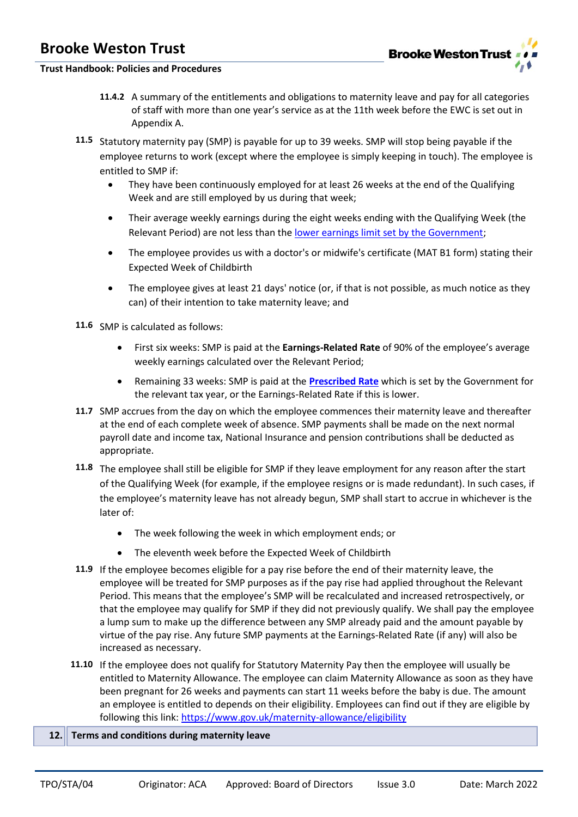### **Trust Handbook: Policies and Procedures**

- **11.4.2** A summary of the entitlements and obligations to maternity leave and pay for all categories of staff with more than one year's service as at the 11th week before the EWC is set out in Appendix A.
- **11.5** Statutory maternity pay (SMP) is payable for up to 39 weeks. SMP will stop being payable if the employee returns to work (except where the employee is simply keeping in touch). The employee is entitled to SMP if:
	- They have been continuously employed for at least 26 weeks at the end of the Qualifying Week and are still employed by us during that week;
	- Their average weekly earnings during the eight weeks ending with the Qualifying Week (the Relevant Period) are not less than th[e lower earnings limit set by the Government;](https://www.gov.uk/maternity-pay-leave/eligibility)
	- The employee provides us with a doctor's or midwife's certificate (MAT B1 form) stating their Expected Week of Childbirth
	- The employee gives at least 21 days' notice (or, if that is not possible, as much notice as they can) of their intention to take maternity leave; and

**11.6** SMP is calculated as follows:

- First six weeks: SMP is paid at the **Earnings-Related Rate** of 90% of the employee's average weekly earnings calculated over the Relevant Period;
- Remaining 33 weeks: SMP is paid at the **[Prescribed Rate](https://www.gov.uk/maternity-pay-leave/pay)** which is set by the Government for the relevant tax year, or the Earnings-Related Rate if this is lower.
- **11.7** SMP accrues from the day on which the employee commences their maternity leave and thereafter at the end of each complete week of absence. SMP payments shall be made on the next normal payroll date and income tax, National Insurance and pension contributions shall be deducted as appropriate.
- **11.8** The employee shall still be eligible for SMP if they leave employment for any reason after the start of the Qualifying Week (for example, if the employee resigns or is made redundant). In such cases, if the employee's maternity leave has not already begun, SMP shall start to accrue in whichever is the later of:
	- The week following the week in which employment ends; or
	- The eleventh week before the Expected Week of Childbirth
- **11.9** If the employee becomes eligible for a pay rise before the end of their maternity leave, the employee will be treated for SMP purposes as if the pay rise had applied throughout the Relevant Period. This means that the employee's SMP will be recalculated and increased retrospectively, or that the employee may qualify for SMP if they did not previously qualify. We shall pay the employee a lump sum to make up the difference between any SMP already paid and the amount payable by virtue of the pay rise. Any future SMP payments at the Earnings-Related Rate (if any) will also be increased as necessary.
- **11.10** If the employee does not qualify for Statutory Maternity Pay then the employee will usually be entitled to Maternity Allowance. The employee can claim Maternity Allowance as soon as they have been pregnant for 26 weeks and payments can start 11 weeks before the baby is due. The amount an employee is entitled to depends on their eligibility. Employees can find out if they are eligible by following this link[: https://www.gov.uk/maternity-allowance/eligibility](https://www.gov.uk/maternity-allowance/eligibility)

### **12. Terms and conditions during maternity leave**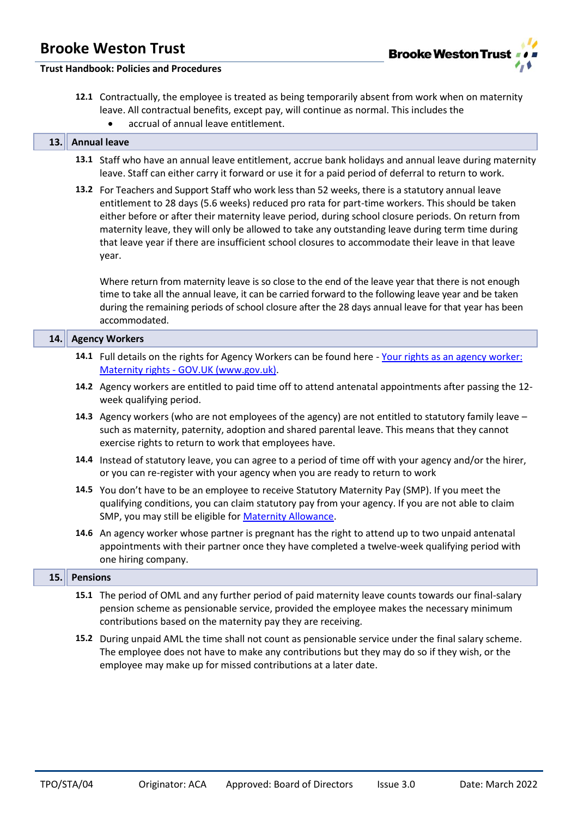

### **Trust Handbook: Policies and Procedures**

- **12.1** Contractually, the employee is treated as being temporarily absent from work when on maternity leave. All contractual benefits, except pay, will continue as normal. This includes the
	- accrual of annual leave entitlement.

#### **13. Annual leave**

- **13.1** Staff who have an annual leave entitlement, accrue bank holidays and annual leave during maternity leave. Staff can either carry it forward or use it for a paid period of deferral to return to work.
- **13.2** For Teachers and Support Staff who work less than 52 weeks, there is a statutory annual leave entitlement to 28 days (5.6 weeks) reduced pro rata for part-time workers. This should be taken either before or after their maternity leave period, during school closure periods. On return from maternity leave, they will only be allowed to take any outstanding leave during term time during that leave year if there are insufficient school closures to accommodate their leave in that leave year.

Where return from maternity leave is so close to the end of the leave year that there is not enough time to take all the annual leave, it can be carried forward to the following leave year and be taken during the remaining periods of school closure after the 28 days annual leave for that year has been accommodated.

| 14.  |                 | <b>Agency Workers</b>                                                                                                                                                                                                                                                   |  |  |  |
|------|-----------------|-------------------------------------------------------------------------------------------------------------------------------------------------------------------------------------------------------------------------------------------------------------------------|--|--|--|
|      |                 | 14.1 Full details on the rights for Agency Workers can be found here - Your rights as an agency worker:<br>Maternity rights - GOV.UK (www.gov.uk).                                                                                                                      |  |  |  |
|      |                 | 14.2 Agency workers are entitled to paid time off to attend antenatal appointments after passing the 12-<br>week qualifying period.                                                                                                                                     |  |  |  |
|      |                 | 14.3 Agency workers (who are not employees of the agency) are not entitled to statutory family leave -<br>such as maternity, paternity, adoption and shared parental leave. This means that they cannot<br>exercise rights to return to work that employees have.       |  |  |  |
|      |                 | 14.4 Instead of statutory leave, you can agree to a period of time off with your agency and/or the hirer,<br>or you can re-register with your agency when you are ready to return to work                                                                               |  |  |  |
|      |                 | 14.5 You don't have to be an employee to receive Statutory Maternity Pay (SMP). If you meet the<br>qualifying conditions, you can claim statutory pay from your agency. If you are not able to claim<br>SMP, you may still be eligible for <b>Maternity Allowance</b> . |  |  |  |
|      |                 | 14.6 An agency worker whose partner is pregnant has the right to attend up to two unpaid antenatal<br>appointments with their partner once they have completed a twelve-week qualifying period with<br>one hiring company.                                              |  |  |  |
| 15.1 | <b>Pensions</b> |                                                                                                                                                                                                                                                                         |  |  |  |
|      |                 | 15.1 The period of OML and any further period of paid maternity leave counts towards our final-salary<br>pension scheme as pensionable service, provided the employee makes the necessary minimum<br>contributions based on the maternity pay they are receiving.       |  |  |  |

**15.2** During unpaid AML the time shall not count as pensionable service under the final salary scheme. The employee does not have to make any contributions but they may do so if they wish, or the employee may make up for missed contributions at a later date.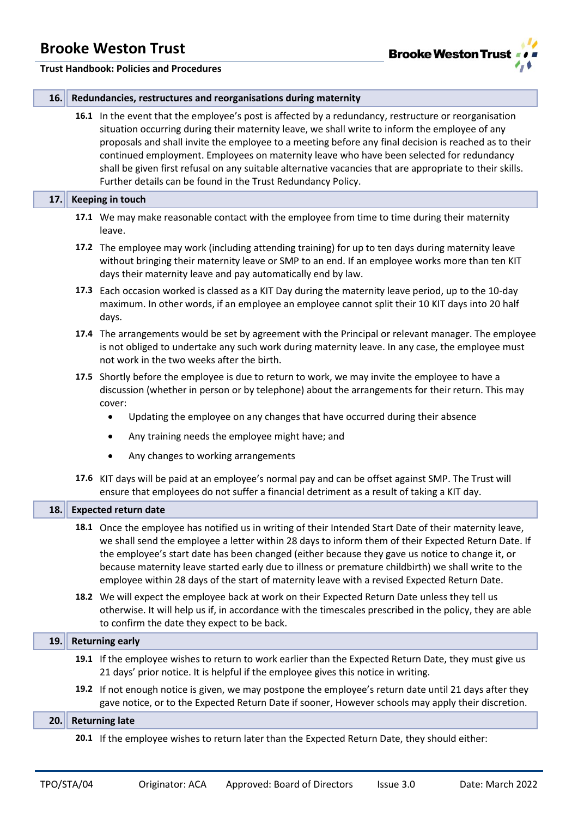

|  |  | 16. Redundancies, restructures and reorganisations during maternity |
|--|--|---------------------------------------------------------------------|
|  |  |                                                                     |

**16.1** In the event that the employee's post is affected by a redundancy, restructure or reorganisation situation occurring during their maternity leave, we shall write to inform the employee of any proposals and shall invite the employee to a meeting before any final decision is reached as to their continued employment. Employees on maternity leave who have been selected for redundancy shall be given first refusal on any suitable alternative vacancies that are appropriate to their skills. Further details can be found in the Trust Redundancy Policy.

#### **17. Keeping in touch**

- **17.1** We may make reasonable contact with the employee from time to time during their maternity leave.
- **17.2** The employee may work (including attending training) for up to ten days during maternity leave without bringing their maternity leave or SMP to an end. If an employee works more than ten KIT days their maternity leave and pay automatically end by law.
- **17.3** Each occasion worked is classed as a KIT Day during the maternity leave period, up to the 10-day maximum. In other words, if an employee an employee cannot split their 10 KIT days into 20 half days.
- **17.4** The arrangements would be set by agreement with the Principal or relevant manager. The employee is not obliged to undertake any such work during maternity leave. In any case, the employee must not work in the two weeks after the birth.
- **17.5** Shortly before the employee is due to return to work, we may invite the employee to have a discussion (whether in person or by telephone) about the arrangements for their return. This may cover:
	- Updating the employee on any changes that have occurred during their absence
	- Any training needs the employee might have; and
	- Any changes to working arrangements
- **17.6** KIT days will be paid at an employee's normal pay and can be offset against SMP. The Trust will ensure that employees do not suffer a financial detriment as a result of taking a KIT day.

| 18.  | <b>Expected return date</b>                                                                                                                                                                                                                                                                                                                                                                                                                                                                                               |  |  |  |
|------|---------------------------------------------------------------------------------------------------------------------------------------------------------------------------------------------------------------------------------------------------------------------------------------------------------------------------------------------------------------------------------------------------------------------------------------------------------------------------------------------------------------------------|--|--|--|
|      | 18.1 Once the employee has notified us in writing of their Intended Start Date of their maternity leave,<br>we shall send the employee a letter within 28 days to inform them of their Expected Return Date. If<br>the employee's start date has been changed (either because they gave us notice to change it, or<br>because maternity leave started early due to illness or premature childbirth) we shall write to the<br>employee within 28 days of the start of maternity leave with a revised Expected Return Date. |  |  |  |
|      | 18.2 We will expect the employee back at work on their Expected Return Date unless they tell us<br>otherwise. It will help us if, in accordance with the timescales prescribed in the policy, they are able<br>to confirm the date they expect to be back.                                                                                                                                                                                                                                                                |  |  |  |
| 19.  | <b>Returning early</b>                                                                                                                                                                                                                                                                                                                                                                                                                                                                                                    |  |  |  |
|      | 19.1 If the employee wishes to return to work earlier than the Expected Return Date, they must give us<br>21 days' prior notice. It is helpful if the employee gives this notice in writing.                                                                                                                                                                                                                                                                                                                              |  |  |  |
|      | 19.2 If not enough notice is given, we may postpone the employee's return date until 21 days after they<br>gave notice, or to the Expected Return Date if sooner, However schools may apply their discretion.                                                                                                                                                                                                                                                                                                             |  |  |  |
| 20.1 | <b>Returning late</b>                                                                                                                                                                                                                                                                                                                                                                                                                                                                                                     |  |  |  |
|      | 20.1 If the employee wishes to return later than the Expected Return Date, they should either:                                                                                                                                                                                                                                                                                                                                                                                                                            |  |  |  |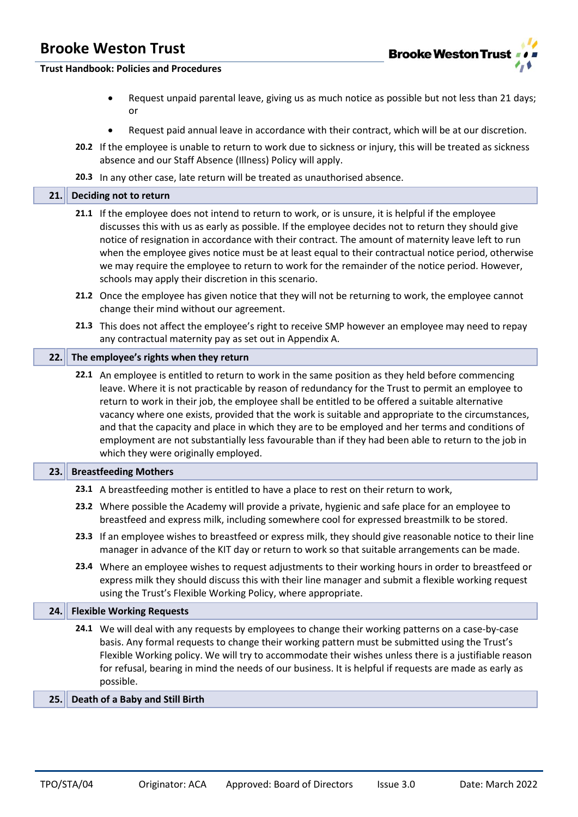

### **Trust Handbook: Policies and Procedures**

- Request unpaid parental leave, giving us as much notice as possible but not less than 21 days; or
- Request paid annual leave in accordance with their contract, which will be at our discretion.
- **20.2** If the employee is unable to return to work due to sickness or injury, this will be treated as sickness absence and our Staff Absence (Illness) Policy will apply.
- **20.3** In any other case, late return will be treated as unauthorised absence.

#### **21. Deciding not to return**

- **21.1** If the employee does not intend to return to work, or is unsure, it is helpful if the employee discusses this with us as early as possible. If the employee decides not to return they should give notice of resignation in accordance with their contract. The amount of maternity leave left to run when the employee gives notice must be at least equal to their contractual notice period, otherwise we may require the employee to return to work for the remainder of the notice period. However, schools may apply their discretion in this scenario.
- **21.2** Once the employee has given notice that they will not be returning to work, the employee cannot change their mind without our agreement.
- **21.3** This does not affect the employee's right to receive SMP however an employee may need to repay any contractual maternity pay as set out in Appendix A.

#### **22. The employee's rights when they return**

**22.1** An employee is entitled to return to work in the same position as they held before commencing leave. Where it is not practicable by reason of redundancy for the Trust to permit an employee to return to work in their job, the employee shall be entitled to be offered a suitable alternative vacancy where one exists, provided that the work is suitable and appropriate to the circumstances, and that the capacity and place in which they are to be employed and her terms and conditions of employment are not substantially less favourable than if they had been able to return to the job in which they were originally employed.

### **23. Breastfeeding Mothers**

- **23.1** A breastfeeding mother is entitled to have a place to rest on their return to work,
- **23.2** Where possible the Academy will provide a private, hygienic and safe place for an employee to breastfeed and express milk, including somewhere cool for expressed breastmilk to be stored.
- **23.3** If an employee wishes to breastfeed or express milk, they should give reasonable notice to their line manager in advance of the KIT day or return to work so that suitable arrangements can be made.
- **23.4** Where an employee wishes to request adjustments to their working hours in order to breastfeed or express milk they should discuss this with their line manager and submit a flexible working request using the Trust's Flexible Working Policy, where appropriate.

### **24. Flexible Working Requests**

**24.1** We will deal with any requests by employees to change their working patterns on a case-by-case basis. Any formal requests to change their working pattern must be submitted using the Trust's Flexible Working policy. We will try to accommodate their wishes unless there is a justifiable reason for refusal, bearing in mind the needs of our business. It is helpful if requests are made as early as possible.

### **25. Death of a Baby and Still Birth**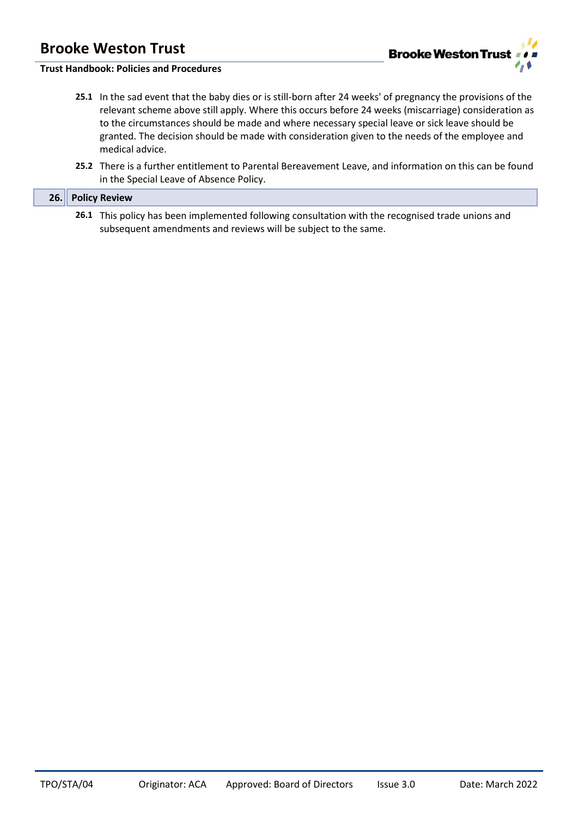

## **Trust Handbook: Policies and Procedures**

- **25.1** In the sad event that the baby dies or is still-born after 24 weeks' of pregnancy the provisions of the relevant scheme above still apply. Where this occurs before 24 weeks (miscarriage) consideration as to the circumstances should be made and where necessary special leave or sick leave should be granted. The decision should be made with consideration given to the needs of the employee and medical advice.
- **25.2** There is a further entitlement to Parental Bereavement Leave, and information on this can be found in the Special Leave of Absence Policy.

| 26. Policy Review                                                                                 |
|---------------------------------------------------------------------------------------------------|
| 26.1 This policy has been implemented following consultation with the recognised trade unions and |

**26.1** This policy has been implemented following consultation with the recognised trade unions and subsequent amendments and reviews will be subject to the same.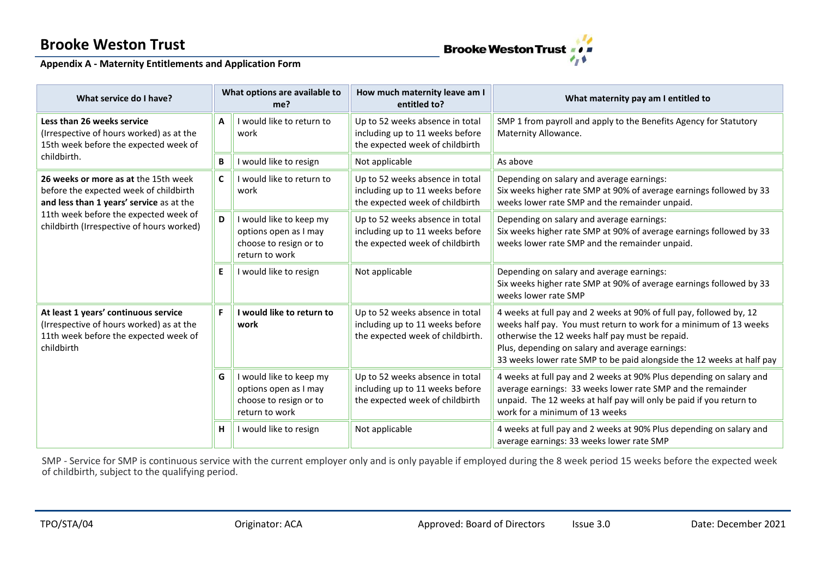

## **Appendix A - Maternity Entitlements and Application Form**

| What service do I have?                                                                                                                 |   | What options are available to<br>me?                                                         | How much maternity leave am I<br>entitled to?                                                          | What maternity pay am I entitled to                                                                                                                                                                                                                                                                                     |  |
|-----------------------------------------------------------------------------------------------------------------------------------------|---|----------------------------------------------------------------------------------------------|--------------------------------------------------------------------------------------------------------|-------------------------------------------------------------------------------------------------------------------------------------------------------------------------------------------------------------------------------------------------------------------------------------------------------------------------|--|
| Less than 26 weeks service<br>(Irrespective of hours worked) as at the<br>15th week before the expected week of                         | A | I would like to return to<br>work                                                            | Up to 52 weeks absence in total<br>including up to 11 weeks before<br>the expected week of childbirth  | SMP 1 from payroll and apply to the Benefits Agency for Statutory<br>Maternity Allowance.                                                                                                                                                                                                                               |  |
| childbirth.                                                                                                                             | B | I would like to resign                                                                       | Not applicable                                                                                         | As above                                                                                                                                                                                                                                                                                                                |  |
| 26 weeks or more as at the 15th week<br>before the expected week of childbirth<br>and less than 1 years' service as at the              | C | I would like to return to<br>work                                                            | Up to 52 weeks absence in total<br>including up to 11 weeks before<br>the expected week of childbirth  | Depending on salary and average earnings:<br>Six weeks higher rate SMP at 90% of average earnings followed by 33<br>weeks lower rate SMP and the remainder unpaid.                                                                                                                                                      |  |
| 11th week before the expected week of<br>childbirth (Irrespective of hours worked)                                                      | D | I would like to keep my<br>options open as I may<br>choose to resign or to<br>return to work | Up to 52 weeks absence in total<br>including up to 11 weeks before<br>the expected week of childbirth  | Depending on salary and average earnings:<br>Six weeks higher rate SMP at 90% of average earnings followed by 33<br>weeks lower rate SMP and the remainder unpaid.                                                                                                                                                      |  |
|                                                                                                                                         | E | I would like to resign                                                                       | Not applicable                                                                                         | Depending on salary and average earnings:<br>Six weeks higher rate SMP at 90% of average earnings followed by 33<br>weeks lower rate SMP                                                                                                                                                                                |  |
| At least 1 years' continuous service<br>(Irrespective of hours worked) as at the<br>11th week before the expected week of<br>childbirth | F | I would like to return to<br>work                                                            | Up to 52 weeks absence in total<br>including up to 11 weeks before<br>the expected week of childbirth. | 4 weeks at full pay and 2 weeks at 90% of full pay, followed by, 12<br>weeks half pay. You must return to work for a minimum of 13 weeks<br>otherwise the 12 weeks half pay must be repaid.<br>Plus, depending on salary and average earnings:<br>33 weeks lower rate SMP to be paid alongside the 12 weeks at half pay |  |
|                                                                                                                                         | G | I would like to keep my<br>options open as I may<br>choose to resign or to<br>return to work | Up to 52 weeks absence in total<br>including up to 11 weeks before<br>the expected week of childbirth  | 4 weeks at full pay and 2 weeks at 90% Plus depending on salary and<br>average earnings: 33 weeks lower rate SMP and the remainder<br>unpaid. The 12 weeks at half pay will only be paid if you return to<br>work for a minimum of 13 weeks                                                                             |  |
|                                                                                                                                         | н | I would like to resign                                                                       | Not applicable                                                                                         | 4 weeks at full pay and 2 weeks at 90% Plus depending on salary and<br>average earnings: 33 weeks lower rate SMP                                                                                                                                                                                                        |  |

SMP - Service for SMP is continuous service with the current employer only and is only payable if employed during the 8 week period 15 weeks before the expected week of childbirth, subject to the qualifying period.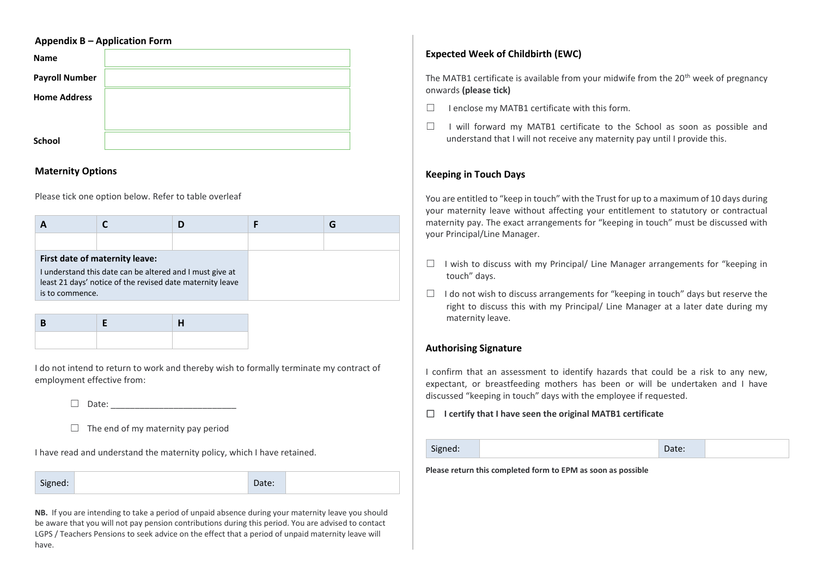|                       | <b>Appendix B - Application Form</b> |  |  |
|-----------------------|--------------------------------------|--|--|
| <b>Name</b>           |                                      |  |  |
| <b>Payroll Number</b> |                                      |  |  |
| <b>Home Address</b>   |                                      |  |  |
|                       |                                      |  |  |
| School                |                                      |  |  |

### **Maternity Options**

Please tick one option below. Refer to table overleaf

|                 |                                                                                                                                                         |  | G |
|-----------------|---------------------------------------------------------------------------------------------------------------------------------------------------------|--|---|
|                 |                                                                                                                                                         |  |   |
| is to commence. | First date of maternity leave:<br>I understand this date can be altered and I must give at<br>least 21 days' notice of the revised date maternity leave |  |   |

I do not intend to return to work and thereby wish to formally terminate my contract of employment effective from:

 $\Box$  Date:

 $\Box$  The end of my maternity pay period

I have read and understand the maternity policy, which I have retained.

Signed: Date:

**NB.** If you are intending to take a period of unpaid absence during your maternity leave you should be aware that you will not pay pension contributions during this period. You are advised to contact LGPS / Teachers Pensions to seek advice on the effect that a period of unpaid maternity leave will have.

## **Expected Week of Childbirth (EWC)**

The MATB1 certificate is available from your midwife from the 20<sup>th</sup> week of pregnancy onwards **(please tick)**

- $\Box$  I enclose my MATB1 certificate with this form.
- ☐ I will forward my MATB1 certificate to the School as soon as possible and understand that I will not receive any maternity pay until I provide this.

## **Keeping in Touch Days**

You are entitled to "keep in touch" with the Trust for up to a maximum of 10 days during your maternity leave without affecting your entitlement to statutory or contractual maternity pay. The exact arrangements for "keeping in touch" must be discussed with your Principal/Line Manager.

- $\Box$  I wish to discuss with my Principal/ Line Manager arrangements for "keeping in touch" days.
- $\Box$  I do not wish to discuss arrangements for "keeping in touch" days but reserve the right to discuss this with my Principal/ Line Manager at a later date during my maternity leave.

## **Authorising Signature**

I confirm that an assessment to identify hazards that could be a risk to any new, expectant, or breastfeeding mothers has been or will be undertaken and I have discussed "keeping in touch" days with the employee if requested.

### ☐ **I certify that I have seen the original MATB1 certificate**

Signed: No. 2016 and Signed: No. 2016 and Signed: No. 2016 and Date: No. 2016 and Date:

**Please return this completed form to EPM as soon as possible**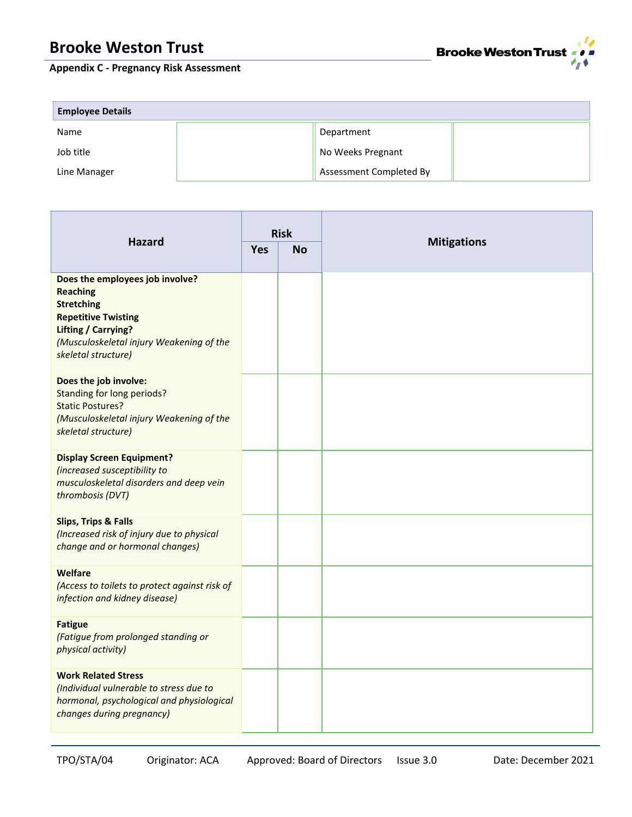# **Appendix C - Pregnancy Risk Assessment**



| <b>Employee Details</b> |  |                         |  |  |
|-------------------------|--|-------------------------|--|--|
| Name                    |  | Department              |  |  |
| Job title               |  | No Weeks Pregnant       |  |  |
| Line Manager            |  | Assessment Completed By |  |  |

| <b>Hazard</b>                                                                                                                                                                                          | <b>Risk</b> |           | <b>Mitigations</b> |  |
|--------------------------------------------------------------------------------------------------------------------------------------------------------------------------------------------------------|-------------|-----------|--------------------|--|
|                                                                                                                                                                                                        | <b>Yes</b>  | <b>No</b> |                    |  |
| Does the employees job involve?<br><b>Reaching</b><br><b>Stretching</b><br><b>Repetitive Twisting</b><br><b>Lifting / Carrying?</b><br>(Musculoskeletal injury Weakening of the<br>skeletal structure) |             |           |                    |  |
| Does the job involve:<br>Standing for long periods?<br><b>Static Postures?</b><br>(Musculoskeletal injury Weakening of the<br>skeletal structure)                                                      |             |           |                    |  |
| <b>Display Screen Equipment?</b><br>(increased susceptibility to<br>musculoskeletal disorders and deep vein<br>thrombosis (DVT)                                                                        |             |           |                    |  |
| <b>Slips, Trips &amp; Falls</b><br>(Increased risk of injury due to physical<br>change and or hormonal changes)                                                                                        |             |           |                    |  |
| Welfare<br>(Access to toilets to protect against risk of<br>infection and kidney disease)                                                                                                              |             |           |                    |  |
| <b>Fatigue</b><br>(Fatigue from prolonged standing or<br>physical activity)                                                                                                                            |             |           |                    |  |
| <b>Work Related Stress</b><br>(Individual vulnerable to stress due to<br>hormonal, psychological and physiological<br>changes during pregnancy)                                                        |             |           |                    |  |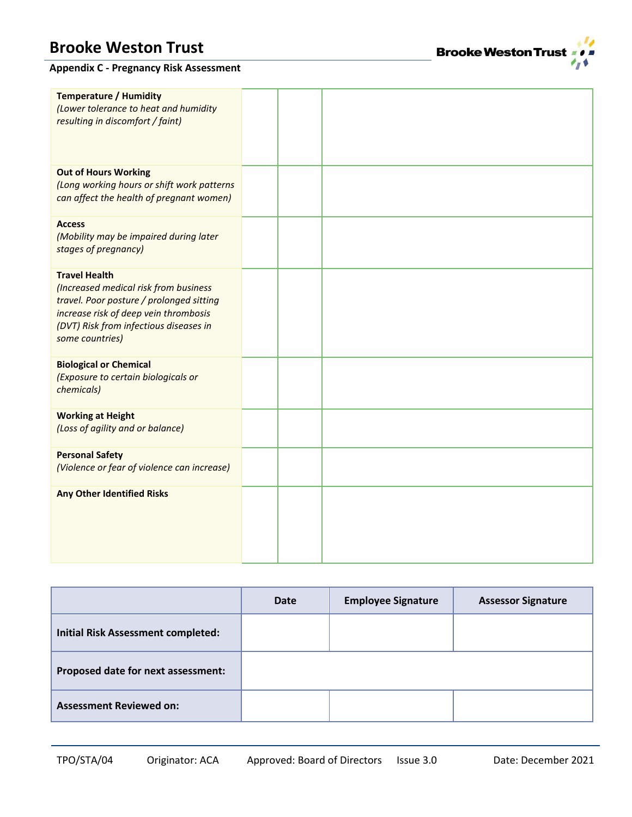# **Appendix C - Pregnancy Risk Assessment**

| <b>Temperature / Humidity</b><br>(Lower tolerance to heat and humidity<br>resulting in discomfort / faint)                                                                                                      |  |  |
|-----------------------------------------------------------------------------------------------------------------------------------------------------------------------------------------------------------------|--|--|
| <b>Out of Hours Working</b><br>(Long working hours or shift work patterns<br>can affect the health of pregnant women)                                                                                           |  |  |
| <b>Access</b><br>(Mobility may be impaired during later<br>stages of pregnancy)                                                                                                                                 |  |  |
| <b>Travel Health</b><br>(Increased medical risk from business<br>travel. Poor posture / prolonged sitting<br>increase risk of deep vein thrombosis<br>(DVT) Risk from infectious diseases in<br>some countries) |  |  |
| <b>Biological or Chemical</b><br>(Exposure to certain biologicals or<br>chemicals)                                                                                                                              |  |  |
| <b>Working at Height</b><br>(Loss of agility and or balance)                                                                                                                                                    |  |  |
| <b>Personal Safety</b><br>(Violence or fear of violence can increase)                                                                                                                                           |  |  |
| <b>Any Other Identified Risks</b>                                                                                                                                                                               |  |  |

|                                           | Date | <b>Employee Signature</b> | <b>Assessor Signature</b> |
|-------------------------------------------|------|---------------------------|---------------------------|
| <b>Initial Risk Assessment completed:</b> |      |                           |                           |
| Proposed date for next assessment:        |      |                           |                           |
| <b>Assessment Reviewed on:</b>            |      |                           |                           |